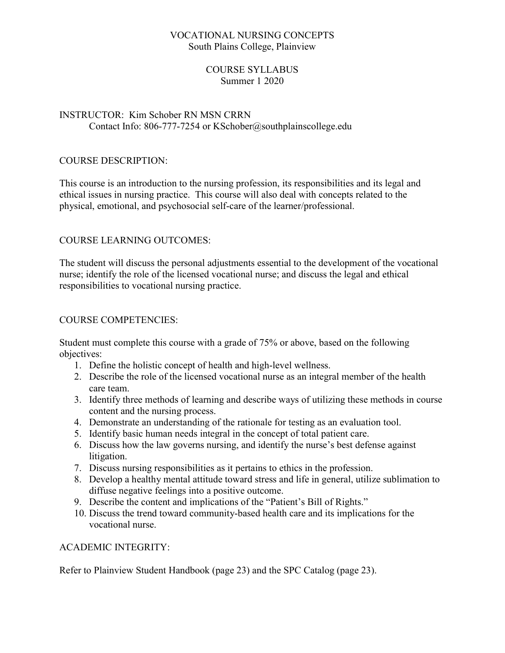# VOCATIONAL NURSING CONCEPTS South Plains College, Plainview

# COURSE SYLLABUS Summer 1 2020

# INSTRUCTOR: Kim Schober RN MSN CRRN Contact Info: 806-777-7254 or KSchober@southplainscollege.edu

# COURSE DESCRIPTION:

This course is an introduction to the nursing profession, its responsibilities and its legal and ethical issues in nursing practice. This course will also deal with concepts related to the physical, emotional, and psychosocial self-care of the learner/professional.

# COURSE LEARNING OUTCOMES:

The student will discuss the personal adjustments essential to the development of the vocational nurse; identify the role of the licensed vocational nurse; and discuss the legal and ethical responsibilities to vocational nursing practice.

#### COURSE COMPETENCIES:

Student must complete this course with a grade of 75% or above, based on the following objectives:

- 1. Define the holistic concept of health and high-level wellness.
- 2. Describe the role of the licensed vocational nurse as an integral member of the health care team.
- 3. Identify three methods of learning and describe ways of utilizing these methods in course content and the nursing process.
- 4. Demonstrate an understanding of the rationale for testing as an evaluation tool.
- 5. Identify basic human needs integral in the concept of total patient care.
- 6. Discuss how the law governs nursing, and identify the nurse's best defense against litigation.
- 7. Discuss nursing responsibilities as it pertains to ethics in the profession.
- 8. Develop a healthy mental attitude toward stress and life in general, utilize sublimation to diffuse negative feelings into a positive outcome.
- 9. Describe the content and implications of the "Patient's Bill of Rights."
- 10. Discuss the trend toward community-based health care and its implications for the vocational nurse.

#### ACADEMIC INTEGRITY:

Refer to Plainview Student Handbook (page 23) and the SPC Catalog (page 23).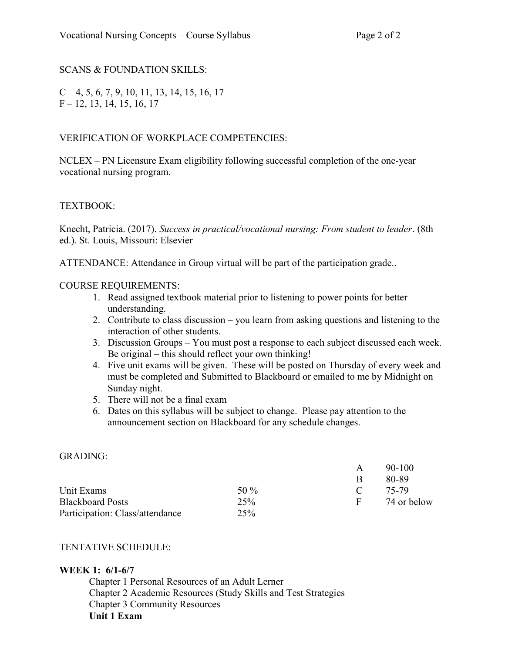# SCANS & FOUNDATION SKILLS:

 $C - 4, 5, 6, 7, 9, 10, 11, 13, 14, 15, 16, 17$ F – 12, 13, 14, 15, 16, 17

# VERIFICATION OF WORKPLACE COMPETENCIES:

NCLEX – PN Licensure Exam eligibility following successful completion of the one-year vocational nursing program.

# TEXTBOOK:

Knecht, Patricia. (2017). Success in practical/vocational nursing: From student to leader. (8th ed.). St. Louis, Missouri: Elsevier

ATTENDANCE: Attendance in Group virtual will be part of the participation grade..

# COURSE REQUIREMENTS:

- 1. Read assigned textbook material prior to listening to power points for better understanding.
- 2. Contribute to class discussion you learn from asking questions and listening to the interaction of other students.
- 3. Discussion Groups You must post a response to each subject discussed each week. Be original – this should reflect your own thinking!
- 4. Five unit exams will be given. These will be posted on Thursday of every week and must be completed and Submitted to Blackboard or emailed to me by Midnight on Sunday night.
- 5. There will not be a final exam
- 6. Dates on this syllabus will be subject to change. Please pay attention to the announcement section on Blackboard for any schedule changes.

#### GRADING:

|                                 |         | A  | $90 - 100$  |
|---------------------------------|---------|----|-------------|
|                                 |         | R  | 80-89       |
| Unit Exams                      | 50 $\%$ |    | 75-79       |
| <b>Blackboard Posts</b>         | 25%     | н. | 74 or below |
| Participation: Class/attendance | 25%     |    |             |

# TENTATIVE SCHEDULE:

### WEEK 1: 6/1-6/7

 Chapter 1 Personal Resources of an Adult Lerner Chapter 2 Academic Resources (Study Skills and Test Strategies Chapter 3 Community Resources Unit 1 Exam